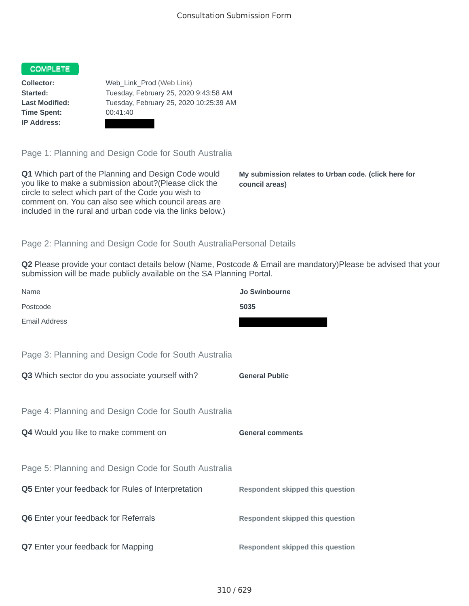## COMPLETE

**Time Spent:** 00:41:40 **IP Address:**

**Collector:** Web\_Link\_Prod (Web Link) **Started:** Tuesday, February 25, 2020 9:43:58 AM **Last Modified:** Tuesday, February 25, 2020 10:25:39 AM

Page 1: Planning and Design Code for South Australia

**Q1** Which part of the Planning and Design Code would you like to make a submission about?(Please click the circle to select which part of the Code you wish to comment on. You can also see which council areas are included in the rural and urban code via the links below.)

**My submission relates to Urban code. (click here for council areas)**

## Page 2: Planning and Design Code for South AustraliaPersonal Details

**Q2** Please provide your contact details below (Name, Postcode & Email are mandatory)Please be advised that your submission will be made publicly available on the SA Planning Portal.

| Name                                                      | <b>Jo Swinbourne</b>                    |
|-----------------------------------------------------------|-----------------------------------------|
| Postcode                                                  | 5035                                    |
| <b>Email Address</b>                                      |                                         |
|                                                           |                                         |
| Page 3: Planning and Design Code for South Australia      |                                         |
| Q3 Which sector do you associate yourself with?           | <b>General Public</b>                   |
|                                                           |                                         |
| Page 4: Planning and Design Code for South Australia      |                                         |
| Q4 Would you like to make comment on                      | <b>General comments</b>                 |
|                                                           |                                         |
| Page 5: Planning and Design Code for South Australia      |                                         |
| <b>Q5</b> Enter your feedback for Rules of Interpretation | <b>Respondent skipped this question</b> |
|                                                           |                                         |
| <b>Q6</b> Enter your feedback for Referrals               | <b>Respondent skipped this question</b> |
|                                                           |                                         |
| Q7 Enter your feedback for Mapping                        | <b>Respondent skipped this question</b> |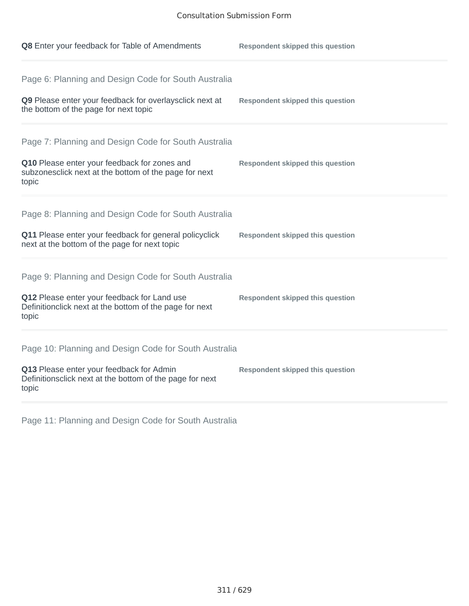| Q8 Enter your feedback for Table of Amendments                                                                                                                          | <b>Respondent skipped this question</b> |
|-------------------------------------------------------------------------------------------------------------------------------------------------------------------------|-----------------------------------------|
| Page 6: Planning and Design Code for South Australia<br>Q9 Please enter your feedback for overlaysclick next at<br>the bottom of the page for next topic                | <b>Respondent skipped this question</b> |
| Page 7: Planning and Design Code for South Australia<br>Q10 Please enter your feedback for zones and<br>subzonesclick next at the bottom of the page for next<br>topic  | <b>Respondent skipped this question</b> |
| Page 8: Planning and Design Code for South Australia<br>Q11 Please enter your feedback for general policyclick<br>next at the bottom of the page for next topic         | <b>Respondent skipped this question</b> |
| Page 9: Planning and Design Code for South Australia<br>Q12 Please enter your feedback for Land use<br>Definitionclick next at the bottom of the page for next<br>topic | <b>Respondent skipped this question</b> |
| Page 10: Planning and Design Code for South Australia<br>Q13 Please enter your feedback for Admin<br>Definitionsclick next at the bottom of the page for next<br>topic  | <b>Respondent skipped this question</b> |

Page 11: Planning and Design Code for South Australia